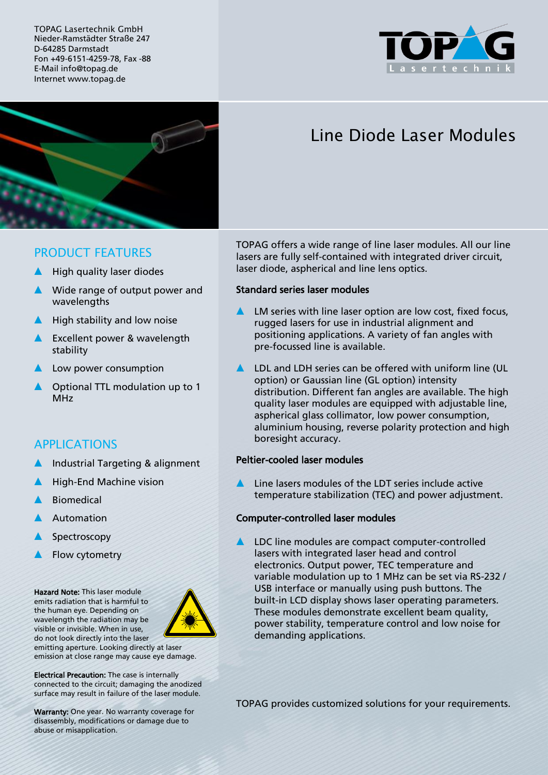TOPAG Lasertechnik GmbH Nieder-Ramstädter Straße 247 D-64285 Darmstadt Fon +49-6151-4259-78, Fax -88 E-Mail info@topag.de Internet www.topag.de





# Line Diode Laser Modules

## PRODUCT FEATURES

- High quality laser diodes
- ▲ Wide range of output power and wavelengths
- ▲ High stability and low noise
- **A** Excellent power & wavelength stability
- Low power consumption
- ▲ Optional TTL modulation up to 1 MHz

# APPLICATIONS

- Industrial Targeting & alignment
- **High-End Machine vision**
- **Biomedical**
- Automation
- Spectroscopy
- Flow cytometry

Hazard Note: This laser module emits radiation that is harmful to the human eye. Depending on wavelength the radiation may be visible or invisible. When in use, do not look directly into the laser



emitting aperture. Looking directly at laser emission at close range may cause eye damage.

Electrical Precaution: The case is internally connected to the circuit; damaging the anodized surface may result in failure of the laser module.

Warranty: One year. No warranty coverage for disassembly, modifications or damage due to abuse or misapplication.

TOPAG offers a wide range of line laser modules. All our line lasers are fully self-contained with integrated driver circuit, laser diode, aspherical and line lens optics.

#### Standard series laser modules

- ▲ LM series with line laser option are low cost, fixed focus, rugged lasers for use in industrial alignment and positioning applications. A variety of fan angles with pre-focussed line is available.
- LDL and LDH series can be offered with uniform line (UL option) or Gaussian line (GL option) intensity distribution. Different fan angles are available. The high quality laser modules are equipped with adjustable line, aspherical glass collimator, low power consumption, aluminium housing, reverse polarity protection and high boresight accuracy.

#### Peltier-cooled laser modules

Line lasers modules of the LDT series include active temperature stabilization (TEC) and power adjustment.

#### Computer-controlled laser modules

LDC line modules are compact computer-controlled lasers with integrated laser head and control electronics. Output power, TEC temperature and variable modulation up to 1 MHz can be set via RS-232 / USB interface or manually using push buttons. The built-in LCD display shows laser operating parameters. These modules demonstrate excellent beam quality, power stability, temperature control and low noise for demanding applications.

TOPAG provides customized solutions for your requirements.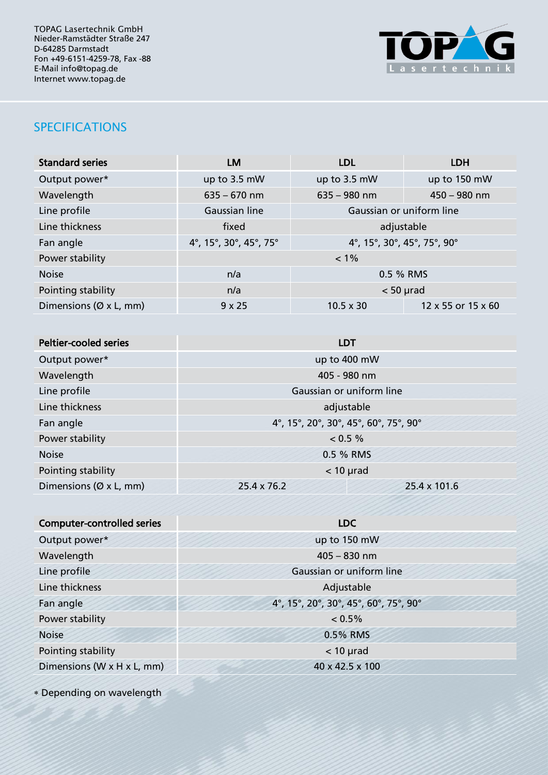TOPAG Lasertechnik GmbH Nieder-Ramstädter Straße 247 D-64285 Darmstadt Fon +49-6151-4259-78, Fax -88 E-Mail info@topag.de Internet www.topag.de



# SPECIFICATIONS

| <b>Standard series</b>              | LM                                                    | <b>LDL</b>               | <b>LDH</b>         |
|-------------------------------------|-------------------------------------------------------|--------------------------|--------------------|
| Output power*                       | up to 3.5 mW                                          | up to 3.5 mW             | up to 150 mW       |
| Wavelength                          | $635 - 670$ nm                                        | $635 - 980$ nm           | $450 - 980$ nm     |
| Line profile                        | Gaussian line                                         | Gaussian or uniform line |                    |
| Line thickness                      | fixed                                                 | adjustable               |                    |
| Fan angle                           | 4°, 15°, 30°, 45°, 75°<br>4°, 15°, 30°, 45°, 75°, 90° |                          |                    |
| Power stability                     | $< 1\%$                                               |                          |                    |
| <b>Noise</b>                        | n/a                                                   | 0.5 % RMS                |                    |
| Pointing stability                  | n/a                                                   | $< 50$ µrad              |                    |
| Dimensions ( $\varnothing$ x L, mm) | $9 \times 25$                                         | $10.5 \times 30$         | 12 x 55 or 15 x 60 |

| <b>Peltier-cooled series</b> | <b>LDT</b>                            |              |  |
|------------------------------|---------------------------------------|--------------|--|
| Output power*                | up to 400 mW                          |              |  |
| Wavelength                   | 405 - 980 nm                          |              |  |
| Line profile                 | Gaussian or uniform line              |              |  |
| Line thickness               | adjustable                            |              |  |
| Fan angle                    | 4°, 15°, 20°, 30°, 45°, 60°, 75°, 90° |              |  |
| Power stability              | $< 0.5 \%$                            |              |  |
| <b>Noise</b>                 | 0.5 % RMS                             |              |  |
| Pointing stability           | $<$ 10 µrad                           |              |  |
| Dimensions ( $Ø$ x L, mm)    | 25.4 x 76.2                           | 25.4 x 101.6 |  |

| <b>Computer-controlled series</b> | ,,,,,,,,,,,,,,,,,,,,,<br><b>LDC</b>   |  |
|-----------------------------------|---------------------------------------|--|
| Output power*                     | up to 150 mW                          |  |
| Wavelength                        | $405 - 830$ nm                        |  |
| Line profile                      | Gaussian or uniform line              |  |
| Line thickness                    | Adjustable                            |  |
| Fan angle                         | 4°, 15°, 20°, 30°, 45°, 60°, 75°, 90° |  |
| Power stability                   | 0.5%                                  |  |
| <b>Noise</b>                      | 0.5% RMS                              |  |
| Pointing stability                | $<$ 10 µrad                           |  |
| Dimensions (W x H x L, mm)        | 40 x 42.5 x 100                       |  |
|                                   |                                       |  |

Depending on wavelength